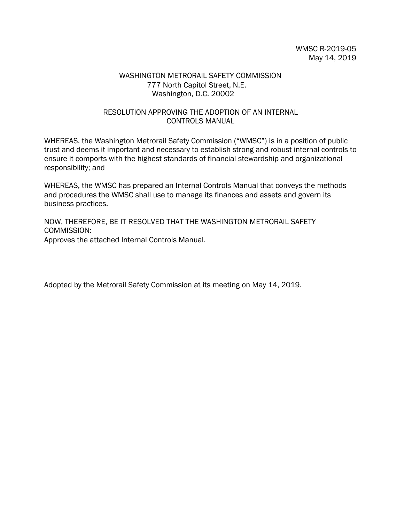## WASHINGTON METRORAIL SAFETY COMMISSION 777 North Capitol Street, N.E. Washington, D.C. 20002

## RESOLUTION APPROVING THE ADOPTION OF AN INTERNAL CONTROLS MANUAL

WHEREAS, the Washington Metrorail Safety Commission ("WMSC") is in a position of public trust and deems it important and necessary to establish strong and robust internal controls to ensure it comports with the highest standards of financial stewardship and organizational responsibility; and

WHEREAS, the WMSC has prepared an Internal Controls Manual that conveys the methods and procedures the WMSC shall use to manage its finances and assets and govern its business practices.

NOW, THEREFORE, BE IT RESOLVED THAT THE WASHINGTON METRORAIL SAFETY COMMISSION: Approves the attached Internal Controls Manual.

Adopted by the Metrorail Safety Commission at its meeting on May 14, 2019.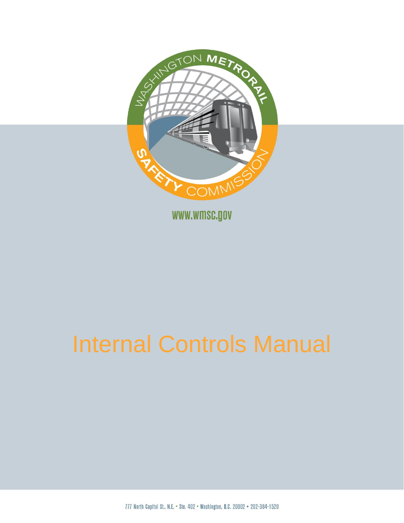

777 North Capitol St., N.E. . Ste. 402 . Washington, D.C. 20002 . 202-384-1520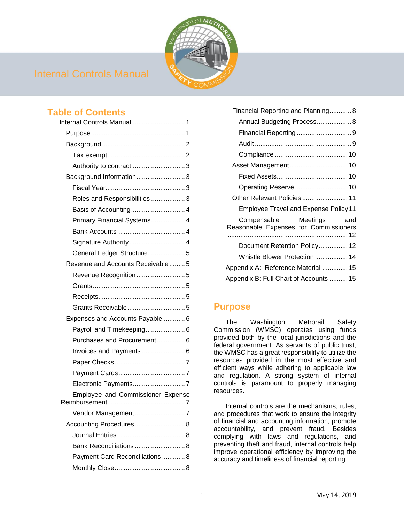

## **Table of Contents**

| Internal Controls Manual 1        |
|-----------------------------------|
|                                   |
|                                   |
|                                   |
| Authority to contract 3           |
| Background Information3           |
|                                   |
| Roles and Responsibilities 3      |
| Basis of Accounting4              |
| Primary Financial Systems4        |
|                                   |
| Signature Authority4              |
| General Ledger Structure5         |
| Revenue and Accounts Receivable5  |
| Revenue Recognition 5             |
|                                   |
|                                   |
|                                   |
| Expenses and Accounts Payable 6   |
|                                   |
| Purchases and Procurement6        |
|                                   |
|                                   |
|                                   |
| Electronic Payments7              |
| Employee and Commissioner Expense |
| Vendor Management7                |
| Accounting Procedures8            |
|                                   |
| Bank Reconciliations8             |
| Payment Card Reconciliations 8    |
|                                   |

| Financial Reporting and Planning8                                    |
|----------------------------------------------------------------------|
| Annual Budgeting Process 8                                           |
|                                                                      |
|                                                                      |
|                                                                      |
|                                                                      |
|                                                                      |
| Operating Reserve 10                                                 |
| Other Relevant Policies  11                                          |
| <b>Employee Travel and Expense Policy11</b>                          |
| Compensable Meetings<br>and<br>Reasonable Expenses for Commissioners |
| Document Retention Policy 12                                         |
| Whistle Blower Protection  14                                        |
| Appendix A: Reference Material  15                                   |
| Appendix B: Full Chart of Accounts  15                               |
|                                                                      |

## <span id="page-2-0"></span>**Purpose**

The Washington Metrorail Safety Commission (WMSC) operates using funds provided both by the local jurisdictions and the federal government. As servants of public trust, the WMSC has a great responsibility to utilize the resources provided in the most effective and efficient ways while adhering to applicable law and regulation. A strong system of internal controls is paramount to properly managing resources.

Internal controls are the mechanisms, rules, and procedures that work to ensure the integrity of financial and accounting information, promote accountability, and prevent fraud. Besides complying with laws and regulations, and preventing theft and fraud, internal controls help improve operational efficiency by improving the accuracy and timeliness of financial reporting.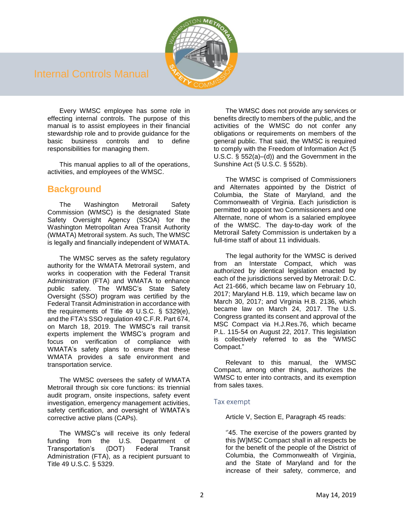

Every WMSC employee has some role in effecting internal controls. The purpose of this manual is to assist employees in their financial stewardship role and to provide guidance for the basic business controls and to define responsibilities for managing them.

This manual applies to all of the operations, activities, and employees of the WMSC.

## <span id="page-3-0"></span>**Background**

The Washington Metrorail Safety Commission (WMSC) is the designated State Safety Oversight Agency (SSOA) for the Washington Metropolitan Area Transit Authority (WMATA) Metrorail system. As such, The WMSC is legally and financially independent of WMATA.

The WMSC serves as the safety regulatory authority for the WMATA Metrorail system, and works in cooperation with the Federal Transit Administration (FTA) and WMATA to enhance public safety. The WMSC's State Safety Oversight (SSO) program was certified by the Federal Transit Administration in accordance with the requirements of Title 49 U.S.C. § 5329(e), and the FTA's SSO regulation 49 C.F.R. Part 674, on March 18, 2019. The WMSC's rail transit experts implement the WMSC's program and focus on verification of compliance with WMATA's safety plans to ensure that these WMATA provides a safe environment and transportation service.

The WMSC oversees the safety of WMATA Metrorail through six core functions: its triennial audit program, onsite inspections, safety event investigation, emergency management activities, safety certification, and oversight of WMATA's corrective active plans (CAPs).

The WMSC's will receive its only federal funding from the U.S. Department of Transportation's (DOT) Federal Transit Administration (FTA), as a recipient pursuant to Title 49 U.S.C. § 5329.

The WMSC does not provide any services or benefits directly to members of the public, and the activities of the WMSC do not confer any obligations or requirements on members of the general public. That said, the WMSC is required to comply with the Freedom of Information Act (5 U.S.C. § 552(a)–(d)) and the Government in the Sunshine Act (5 U.S.C. § 552b).

The WMSC is comprised of Commissioners and Alternates appointed by the District of Columbia, the State of Maryland, and the Commonwealth of Virginia. Each jurisdiction is permitted to appoint two Commissioners and one Alternate, none of whom is a salaried employee of the WMSC. The day-to-day work of the Metrorail Safety Commission is undertaken by a full-time staff of about 11 individuals.

The legal authority for the WMSC is derived from an Interstate Compact, which was authorized by identical legislation enacted by each of the jurisdictions served by Metrorail: D.C. Act 21-666, which became law on February 10, 2017; Maryland H.B. 119, which became law on March 30, 2017; and Virginia H.B. 2136, which became law on March 24, 2017. The U.S. Congress granted its consent and approval of the MSC Compact via H.J.Res.76, which became P.L. 115-54 on August 22, 2017. This legislation is collectively referred to as the "WMSC Compact."

Relevant to this manual, the WMSC Compact, among other things, authorizes the WMSC to enter into contracts, and its exemption from sales taxes.

### <span id="page-3-1"></span>Tax exempt

Article V, Section E, Paragraph 45 reads:

"45. The exercise of the powers granted by this [W]MSC Compact shall in all respects be for the benefit of the people of the District of Columbia, the Commonwealth of Virginia, and the State of Maryland and for the increase of their safety, commerce, and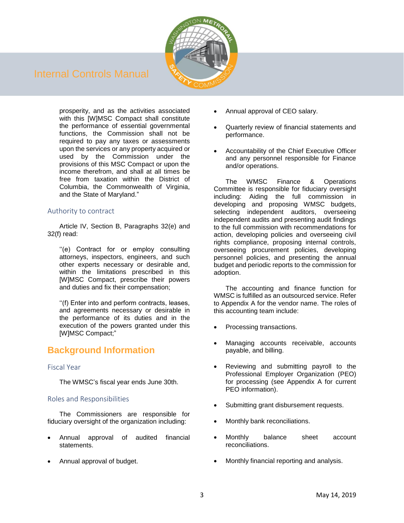

prosperity, and as the activities associated with this [W]MSC Compact shall constitute the performance of essential governmental functions, the Commission shall not be required to pay any taxes or assessments upon the services or any property acquired or used by the Commission under the provisions of this MSC Compact or upon the income therefrom, and shall at all times be free from taxation within the District of Columbia, the Commonwealth of Virginia, and the State of Maryland."

## <span id="page-4-0"></span>Authority to contract

Article IV, Section B, Paragraphs 32(e) and 32(f) read:

''(e) Contract for or employ consulting attorneys, inspectors, engineers, and such other experts necessary or desirable and, within the limitations prescribed in this [W]MSC Compact, prescribe their powers and duties and fix their compensation;

''(f) Enter into and perform contracts, leases, and agreements necessary or desirable in the performance of its duties and in the execution of the powers granted under this [W]MSC Compact;"

## <span id="page-4-1"></span>**Background Information**

### <span id="page-4-2"></span>Fiscal Year

The WMSC's fiscal year ends June 30th.

### <span id="page-4-3"></span>Roles and Responsibilities

The Commissioners are responsible for fiduciary oversight of the organization including:

- Annual approval of audited financial statements<sup>1</sup>
- Annual approval of budget.
- Annual approval of CEO salary.
- Quarterly review of financial statements and performance.
- Accountability of the Chief Executive Officer and any personnel responsible for Finance and/or operations.

The WMSC Finance & Operations Committee is responsible for fiduciary oversight including: Aiding the full commission in developing and proposing WMSC budgets, selecting independent auditors, overseeing independent audits and presenting audit findings to the full commission with recommendations for action, developing policies and overseeing civil rights compliance, proposing internal controls, overseeing procurement policies, developing personnel policies, and presenting the annual budget and periodic reports to the commission for adoption.

The accounting and finance function for WMSC is fulfilled as an outsourced service. Refer to Appendix A for the vendor name. The roles of this accounting team include:

- Processing transactions.
- Managing accounts receivable, accounts payable, and billing.
- Reviewing and submitting payroll to the Professional Employer Organization (PEO) for processing (see Appendix A for current PEO information).
- Submitting grant disbursement requests.
- Monthly bank reconciliations.
- Monthly balance sheet account reconciliations.
- Monthly financial reporting and analysis.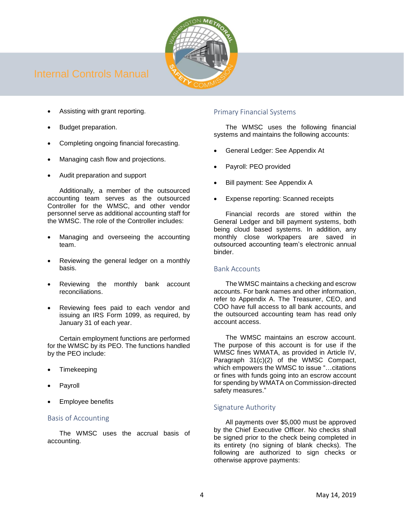

- Assisting with grant reporting.
- Budget preparation.
- Completing ongoing financial forecasting.
- Managing cash flow and projections.
- Audit preparation and support

Additionally, a member of the outsourced accounting team serves as the outsourced Controller for the WMSC, and other vendor personnel serve as additional accounting staff for the WMSC. The role of the Controller includes:

- Managing and overseeing the accounting team.
- Reviewing the general ledger on a monthly basis.
- Reviewing the monthly bank account reconciliations.
- Reviewing fees paid to each vendor and issuing an IRS Form 1099, as required, by January 31 of each year.

Certain employment functions are performed for the WMSC by its PEO. The functions handled by the PEO include:

- **Timekeeping**
- **Payroll**
- **Employee benefits**

## <span id="page-5-0"></span>Basis of Accounting

The WMSC uses the accrual basis of accounting.

## <span id="page-5-1"></span>Primary Financial Systems

The WMSC uses the following financial systems and maintains the following accounts:

- General Ledger: See Appendix At
- Payroll: PEO provided
- Bill payment: See Appendix A
- Expense reporting: Scanned receipts

Financial records are stored within the General Ledger and bill payment systems, both being cloud based systems. In addition, any monthly close workpapers are saved in outsourced accounting team's electronic annual binder.

## <span id="page-5-2"></span>Bank Accounts

The WMSC maintains a checking and escrow accounts. For bank names and other information, refer to Appendix A. The Treasurer, CEO, and COO have full access to all bank accounts, and the outsourced accounting team has read only account access.

The WMSC maintains an escrow account. The purpose of this account is for use if the WMSC fines WMATA, as provided in Article IV, Paragraph 31(c)(2) of the WMSC Compact, which empowers the WMSC to issue "…citations or fines with funds going into an escrow account for spending by WMATA on Commission-directed safety measures."

## <span id="page-5-3"></span>Signature Authority

All payments over \$5,000 must be approved by the Chief Executive Officer. No checks shall be signed prior to the check being completed in its entirety (no signing of blank checks). The following are authorized to sign checks or otherwise approve payments: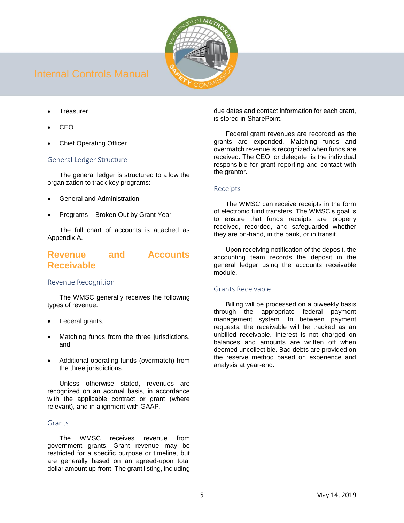

- **Treasurer**
- CEO
- Chief Operating Officer

## <span id="page-6-0"></span>General Ledger Structure

The general ledger is structured to allow the organization to track key programs:

- General and Administration
- Programs Broken Out by Grant Year

The full chart of accounts is attached as Appendix A.

## <span id="page-6-1"></span>**Revenue and Accounts Receivable**

### <span id="page-6-2"></span>Revenue Recognition

The WMSC generally receives the following types of revenue:

- Federal grants,
- Matching funds from the three jurisdictions, and
- Additional operating funds (overmatch) from the three jurisdictions.

Unless otherwise stated, revenues are recognized on an accrual basis, in accordance with the applicable contract or grant (where relevant), and in alignment with GAAP.

### <span id="page-6-3"></span>**Grants**

The WMSC receives revenue from government grants. Grant revenue may be restricted for a specific purpose or timeline, but are generally based on an agreed-upon total dollar amount up-front. The grant listing, including due dates and contact information for each grant, is stored in SharePoint.

Federal grant revenues are recorded as the grants are expended. Matching funds and overmatch revenue is recognized when funds are received. The CEO, or delegate, is the individual responsible for grant reporting and contact with the grantor.

## <span id="page-6-4"></span>Receipts

The WMSC can receive receipts in the form of electronic fund transfers. The WMSC's goal is to ensure that funds receipts are properly received, recorded, and safeguarded whether they are on-hand, in the bank, or in transit.

Upon receiving notification of the deposit, the accounting team records the deposit in the general ledger using the accounts receivable module.

## <span id="page-6-5"></span>Grants Receivable

Billing will be processed on a biweekly basis through the appropriate federal payment management system. In between payment requests, the receivable will be tracked as an unbilled receivable. Interest is not charged on balances and amounts are written off when deemed uncollectible. Bad debts are provided on the reserve method based on experience and analysis at year-end.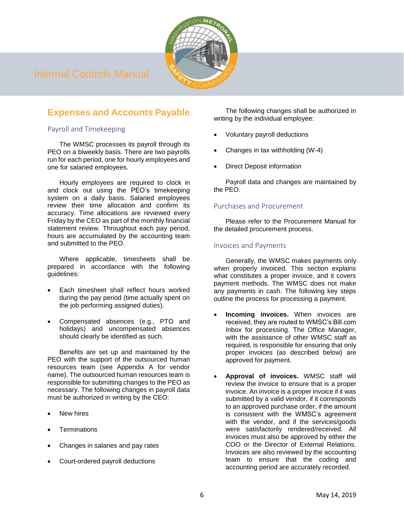

## <span id="page-7-0"></span>**Expenses and Accounts Payable**

## <span id="page-7-1"></span>Payroll and Timekeeping

The WMSC processes its payroll through its PEO on a biweekly basis. There are two payrolls run for each period, one for hourly employees and one for salaried employees.

Hourly employees are required to clock in and clock out using the PEO's timekeeping system on a daily basis. Salaried employees review their time allocation and confirm its accuracy. Time allocations are reviewed every Friday by the CEO as part of the monthly financial statement review. Throughout each pay period, hours are accumulated by the accounting team and submitted to the PEO.

Where applicable, timesheets shall be prepared in accordance with the following guidelines:

- Each timesheet shall reflect hours worked during the pay period (time actually spent on the job performing assigned duties).
- Compensated absences (e.g., PTO and holidays) and uncompensated absences should clearly be identified as such.

Benefits are set up and maintained by the PEO with the support of the outsourced human resources team (see Appendix A for vendor name). The outsourced human resources team is responsible for submitting changes to the PEO as necessary. The following changes in payroll data must be authorized in writing by the CEO:

- **New hires**
- **Terminations**
- Changes in salaries and pay rates
- Court-ordered payroll deductions

The following changes shall be authorized in writing by the individual employee:

- Voluntary payroll deductions
- Changes in tax withholding (W-4)
- Direct Deposit information

Payroll data and changes are maintained by the PEO.

## <span id="page-7-2"></span>Purchases and Procurement

Please refer to the Procurement Manual for the detailed procurement process.

## <span id="page-7-3"></span>Invoices and Payments

Generally, the WMSC makes payments only when properly invoiced. This section explains what constitutes a proper invoice, and it covers payment methods. The WMSC does not make any payments in cash. The following key steps outline the process for processing a payment.

- **Incoming invoices.** When invoices are received, they are routed to WMSC's Bill.com Inbox for processing. The Office Manager, with the assistance of other WMSC staff as required, is responsible for ensuring that only proper invoices (as described below) are approved for payment.
- **Approval of invoices.** WMSC staff will review the invoice to ensure that is a proper invoice. An invoice is a proper invoice if it was submitted by a valid vendor, if it corresponds to an approved purchase order, if the amount is consistent with the WMSC's agreement with the vendor, and if the services/goods were satisfactorily rendered/received. All invoices must also be approved by either the COO or the Director of External Relations. Invoices are also reviewed by the accounting team to ensure that the coding and accounting period are accurately recorded.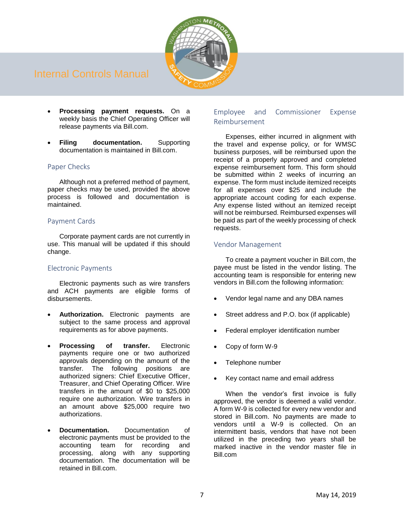

- **Processing payment requests.** On a weekly basis the Chief Operating Officer will release payments via Bill.com.
- **Filing documentation.** Supporting documentation is maintained in Bill.com.

## <span id="page-8-0"></span>Paper Checks

Although not a preferred method of payment, paper checks may be used, provided the above process is followed and documentation is maintained.

## <span id="page-8-1"></span>Payment Cards

Corporate payment cards are not currently in use. This manual will be updated if this should change.

## <span id="page-8-2"></span>Electronic Payments

Electronic payments such as wire transfers and ACH payments are eligible forms of disbursements.

- **Authorization.** Electronic payments are subject to the same process and approval requirements as for above payments.
- **Processing of transfer.** Electronic payments require one or two authorized approvals depending on the amount of the transfer. The following positions are authorized signers: Chief Executive Officer, Treasurer, and Chief Operating Officer. Wire transfers in the amount of \$0 to \$25,000 require one authorization. Wire transfers in an amount above \$25,000 require two authorizations.
- **Documentation.** Documentation of electronic payments must be provided to the accounting team for recording and processing, along with any supporting documentation. The documentation will be retained in Bill.com.

## <span id="page-8-3"></span>Employee and Commissioner Expense Reimbursement

Expenses, either incurred in alignment with the travel and expense policy, or for WMSC business purposes, will be reimbursed upon the receipt of a properly approved and completed expense reimbursement form. This form should be submitted within 2 weeks of incurring an expense. The form must include itemized receipts for all expenses over \$25 and include the appropriate account coding for each expense. Any expense listed without an itemized receipt will not be reimbursed. Reimbursed expenses will be paid as part of the weekly processing of check requests.

## <span id="page-8-4"></span>Vendor Management

To create a payment voucher in Bill.com, the payee must be listed in the vendor listing. The accounting team is responsible for entering new vendors in Bill.com the following information:

- Vendor legal name and any DBA names
- Street address and P.O. box (if applicable)
- Federal employer identification number
- Copy of form W-9
- Telephone number
- Key contact name and email address

When the vendor's first invoice is fully approved, the vendor is deemed a valid vendor. A form W-9 is collected for every new vendor and stored in Bill.com. No payments are made to vendors until a W-9 is collected. On an intermittent basis, vendors that have not been utilized in the preceding two years shall be marked inactive in the vendor master file in Bill.com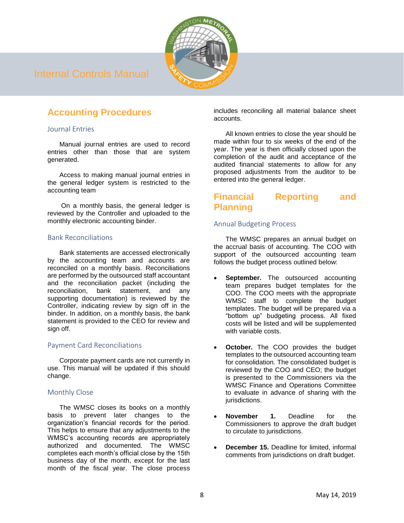

## <span id="page-9-0"></span>**Accounting Procedures**

## <span id="page-9-1"></span>Journal Entries

Manual journal entries are used to record entries other than those that are system generated.

Access to making manual journal entries in the general ledger system is restricted to the accounting team

On a monthly basis, the general ledger is reviewed by the Controller and uploaded to the monthly electronic accounting binder.

## <span id="page-9-2"></span>Bank Reconciliations

Bank statements are accessed electronically by the accounting team and accounts are reconciled on a monthly basis. Reconciliations are performed by the outsourced staff accountant and the reconciliation packet (including the reconciliation, bank statement, and any supporting documentation) is reviewed by the Controller, indicating review by sign off in the binder. In addition, on a monthly basis, the bank statement is provided to the CEO for review and sign off.

## <span id="page-9-3"></span>Payment Card Reconciliations

Corporate payment cards are not currently in use. This manual will be updated if this should change.

## <span id="page-9-4"></span>Monthly Close

The WMSC closes its books on a monthly basis to prevent later changes to the organization's financial records for the period. This helps to ensure that any adjustments to the WMSC's accounting records are appropriately authorized and documented. The WMSC completes each month's official close by the 15th business day of the month, except for the last month of the fiscal year. The close process

includes reconciling all material balance sheet accounts.

All known entries to close the year should be made within four to six weeks of the end of the year. The year is then officially closed upon the completion of the audit and acceptance of the audited financial statements to allow for any proposed adjustments from the auditor to be entered into the general ledger.

## <span id="page-9-5"></span>**Financial Reporting and Planning**

## <span id="page-9-6"></span>Annual Budgeting Process

The WMSC prepares an annual budget on the accrual basis of accounting. The COO with support of the outsourced accounting team follows the budget process outlined below:

- **September.** The outsourced accounting team prepares budget templates for the COO. The COO meets with the appropriate WMSC staff to complete the budget templates. The budget will be prepared via a "bottom up" budgeting process. All fixed costs will be listed and will be supplemented with variable costs.
- **October.** The COO provides the budget templates to the outsourced accounting team for consolidation. The consolidated budget is reviewed by the COO and CEO; the budget is presented to the Commissioners via the WMSC Finance and Operations Committee to evaluate in advance of sharing with the jurisdictions.
- **November 1.** Deadline for the Commissioners to approve the draft budget to circulate to jurisdictions.
- **December 15.** Deadline for limited, informal comments from jurisdictions on draft budget.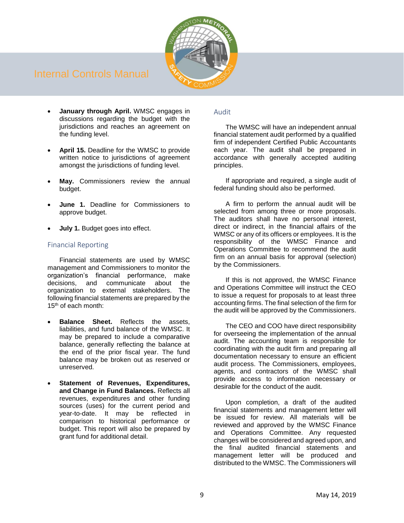

- **January through April.** WMSC engages in discussions regarding the budget with the jurisdictions and reaches an agreement on the funding level.
- **April 15.** Deadline for the WMSC to provide written notice to jurisdictions of agreement amongst the jurisdictions of funding level.
- May. Commissioners review the annual budget.
- **June 1.** Deadline for Commissioners to approve budget.
- **July 1.** Budget goes into effect.

## <span id="page-10-0"></span>Financial Reporting

Financial statements are used by WMSC management and Commissioners to monitor the organization's financial performance, make decisions, and communicate about the organization to external stakeholders. The following financial statements are prepared by the 15th of each month:

- **Balance Sheet.** Reflects the assets, liabilities, and fund balance of the WMSC. It may be prepared to include a comparative balance, generally reflecting the balance at the end of the prior fiscal year. The fund balance may be broken out as reserved or unreserved.
- **Statement of Revenues, Expenditures, and Change in Fund Balances.** Reflects all revenues, expenditures and other funding sources (uses) for the current period and year-to-date. It may be reflected in comparison to historical performance or budget. This report will also be prepared by grant fund for additional detail.

### <span id="page-10-1"></span>Audit

The WMSC will have an independent annual financial statement audit performed by a qualified firm of independent Certified Public Accountants each year. The audit shall be prepared in accordance with generally accepted auditing principles.

If appropriate and required, a single audit of federal funding should also be performed.

A firm to perform the annual audit will be selected from among three or more proposals. The auditors shall have no personal interest, direct or indirect, in the financial affairs of the WMSC or any of its officers or employees. It is the responsibility of the WMSC Finance and Operations Committee to recommend the audit firm on an annual basis for approval (selection) by the Commissioners.

If this is not approved, the WMSC Finance and Operations Committee will instruct the CEO to issue a request for proposals to at least three accounting firms. The final selection of the firm for the audit will be approved by the Commissioners.

The CEO and COO have direct responsibility for overseeing the implementation of the annual audit. The accounting team is responsible for coordinating with the audit firm and preparing all documentation necessary to ensure an efficient audit process. The Commissioners, employees, agents, and contractors of the WMSC shall provide access to information necessary or desirable for the conduct of the audit.

Upon completion, a draft of the audited financial statements and management letter will be issued for review. All materials will be reviewed and approved by the WMSC Finance and Operations Committee. Any requested changes will be considered and agreed upon, and the final audited financial statements and management letter will be produced and distributed to the WMSC. The Commissioners will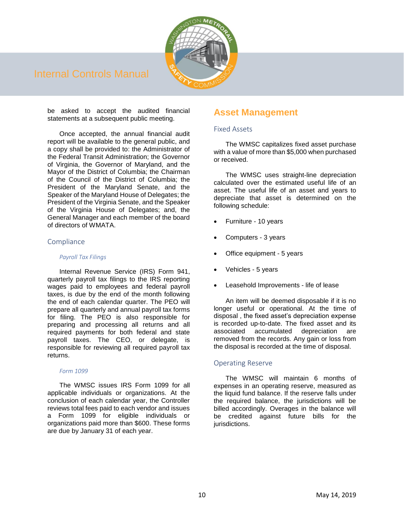

be asked to accept the audited financial statements at a subsequent public meeting.

Once accepted, the annual financial audit report will be available to the general public, and a copy shall be provided to: the Administrator of the Federal Transit Administration; the Governor of Virginia, the Governor of Maryland, and the Mayor of the District of Columbia; the Chairman of the Council of the District of Columbia; the President of the Maryland Senate, and the Speaker of the Maryland House of Delegates; the President of the Virginia Senate, and the Speaker of the Virginia House of Delegates; and, the General Manager and each member of the board of directors of WMATA.

### <span id="page-11-0"></span>Compliance

#### *Payroll Tax Filings*

Internal Revenue Service (IRS) Form 941, quarterly payroll tax filings to the IRS reporting wages paid to employees and federal payroll taxes, is due by the end of the month following the end of each calendar quarter. The PEO will prepare all quarterly and annual payroll tax forms for filing. The PEO is also responsible for preparing and processing all returns and all required payments for both federal and state payroll taxes. The CEO, or delegate, is responsible for reviewing all required payroll tax returns.

### *Form 1099*

The WMSC issues IRS Form 1099 for all applicable individuals or organizations. At the conclusion of each calendar year, the Controller reviews total fees paid to each vendor and issues a Form 1099 for eligible individuals or organizations paid more than \$600. These forms are due by January 31 of each year.

## <span id="page-11-1"></span>**Asset Management**

### <span id="page-11-2"></span>Fixed Assets

The WMSC capitalizes fixed asset purchase with a value of more than \$5,000 when purchased or received.

The WMSC uses straight-line depreciation calculated over the estimated useful life of an asset. The useful life of an asset and years to depreciate that asset is determined on the following schedule:

- Furniture 10 years
- Computers 3 years
- Office equipment 5 years
- Vehicles 5 years
- Leasehold Improvements life of lease

An item will be deemed disposable if it is no longer useful or operational. At the time of disposal , the fixed asset's depreciation expense is recorded up-to-date. The fixed asset and its associated accumulated depreciation are removed from the records. Any gain or loss from the disposal is recorded at the time of disposal.

## <span id="page-11-3"></span>Operating Reserve

The WMSC will maintain 6 months of expenses in an operating reserve, measured as the liquid fund balance. If the reserve falls under the required balance, the jurisdictions will be billed accordingly. Overages in the balance will be credited against future bills for the jurisdictions.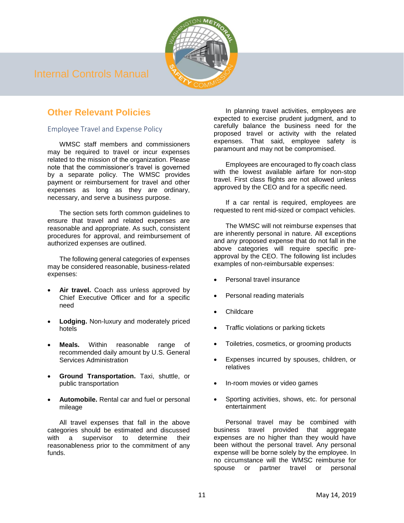

## <span id="page-12-0"></span>**Other Relevant Policies**

## <span id="page-12-1"></span>Employee Travel and Expense Policy

WMSC staff members and commissioners may be required to travel or incur expenses related to the mission of the organization. Please note that the commissioner's travel is governed by a separate policy. The WMSC provides payment or reimbursement for travel and other expenses as long as they are ordinary, necessary, and serve a business purpose.

The section sets forth common guidelines to ensure that travel and related expenses are reasonable and appropriate. As such, consistent procedures for approval, and reimbursement of authorized expenses are outlined.

The following general categories of expenses may be considered reasonable, business-related expenses:

- Air travel. Coach ass unless approved by Chief Executive Officer and for a specific need
- **Lodging.** Non-luxury and moderately priced hotels
- **Meals.** Within reasonable range of recommended daily amount by U.S. General Services Administration
- **Ground Transportation.** Taxi, shuttle, or public transportation
- **Automobile.** Rental car and fuel or personal mileage

All travel expenses that fall in the above categories should be estimated and discussed with a supervisor to determine their reasonableness prior to the commitment of any funds.

In planning travel activities, employees are expected to exercise prudent judgment, and to carefully balance the business need for the proposed travel or activity with the related expenses. That said, employee safety is paramount and may not be compromised.

Employees are encouraged to fly coach class with the lowest available airfare for non-stop travel. First class flights are not allowed unless approved by the CEO and for a specific need.

If a car rental is required, employees are requested to rent mid-sized or compact vehicles.

The WMSC will not reimburse expenses that are inherently personal in nature. All exceptions and any proposed expense that do not fall in the above categories will require specific preapproval by the CEO. The following list includes examples of non-reimbursable expenses:

- Personal travel insurance
- Personal reading materials
- **Childcare**
- Traffic violations or parking tickets
- Toiletries, cosmetics, or grooming products
- Expenses incurred by spouses, children, or relatives
- In-room movies or video games
- Sporting activities, shows, etc. for personal entertainment

Personal travel may be combined with business travel provided that aggregate expenses are no higher than they would have been without the personal travel. Any personal expense will be borne solely by the employee. In no circumstance will the WMSC reimburse for spouse or partner travel or personal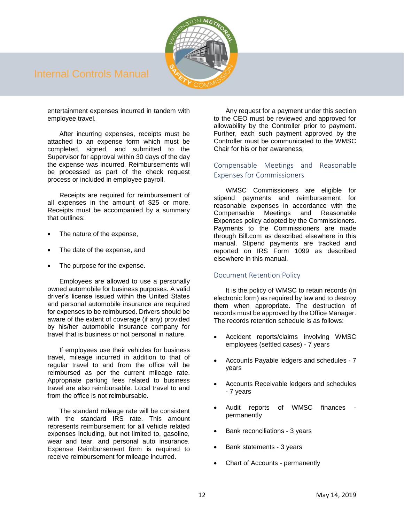

entertainment expenses incurred in tandem with employee travel.

After incurring expenses, receipts must be attached to an expense form which must be completed, signed, and submitted to the Supervisor for approval within 30 days of the day the expense was incurred. Reimbursements will be processed as part of the check request process or included in employee payroll.

Receipts are required for reimbursement of all expenses in the amount of \$25 or more. Receipts must be accompanied by a summary that outlines:

- The nature of the expense,
- The date of the expense, and
- The purpose for the expense.

Employees are allowed to use a personally owned automobile for business purposes. A valid driver's license issued within the United States and personal automobile insurance are required for expenses to be reimbursed. Drivers should be aware of the extent of coverage (if any) provided by his/her automobile insurance company for travel that is business or not personal in nature.

If employees use their vehicles for business travel, mileage incurred in addition to that of regular travel to and from the office will be reimbursed as per the current mileage rate. Appropriate parking fees related to business travel are also reimbursable. Local travel to and from the office is not reimbursable.

The standard mileage rate will be consistent with the standard IRS rate. This amount represents reimbursement for all vehicle related expenses including, but not limited to, gasoline, wear and tear, and personal auto insurance. Expense Reimbursement form is required to receive reimbursement for mileage incurred.

Any request for a payment under this section to the CEO must be reviewed and approved for allowability by the Controller prior to payment. Further, each such payment approved by the Controller must be communicated to the WMSC Chair for his or her awareness.

## <span id="page-13-0"></span>Compensable Meetings and Reasonable Expenses for Commissioners

WMSC Commissioners are eligible for stipend payments and reimbursement for reasonable expenses in accordance with the<br>Compensable Meetings and Reasonable Compensable Meetings and Reasonable Expenses policy adopted by the Commissioners. Payments to the Commissioners are made through Bill.com as described elsewhere in this manual. Stipend payments are tracked and reported on IRS Form 1099 as described elsewhere in this manual.

### <span id="page-13-1"></span>Document Retention Policy

It is the policy of WMSC to retain records (in electronic form) as required by law and to destroy them when appropriate. The destruction of records must be approved by the Office Manager. The records retention schedule is as follows:

- Accident reports/claims involving WMSC employees (settled cases) - 7 years
- Accounts Payable ledgers and schedules 7 years
- Accounts Receivable ledgers and schedules - 7 years
- Audit reports of WMSC finances permanently
- Bank reconciliations 3 years
- Bank statements 3 years
- Chart of Accounts permanently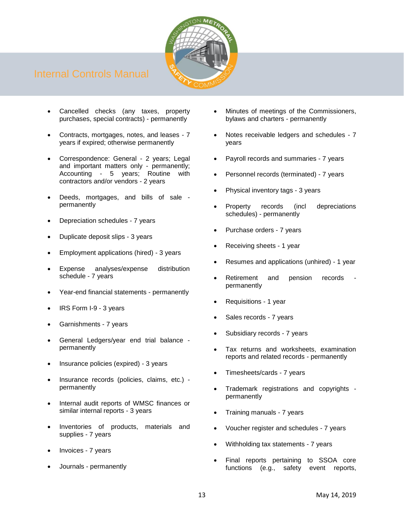

- Cancelled checks (any taxes, property purchases, special contracts) - permanently
- Contracts, mortgages, notes, and leases 7 years if expired; otherwise permanently
- Correspondence: General 2 years; Legal and important matters only - permanently; Accounting - 5 years; Routine with contractors and/or vendors - 2 years
- Deeds, mortgages, and bills of sale permanently
- Depreciation schedules 7 years
- Duplicate deposit slips 3 years
- Employment applications (hired) 3 years
- Expense analyses/expense distribution schedule - 7 years
- Year-end financial statements permanently
- IRS Form I-9 3 years
- Garnishments 7 years
- General Ledgers/year end trial balance permanently
- Insurance policies (expired) 3 years
- Insurance records (policies, claims, etc.) permanently
- Internal audit reports of WMSC finances or similar internal reports - 3 years
- Inventories of products, materials and supplies - 7 years
- Invoices 7 years
- Journals permanently
- Minutes of meetings of the Commissioners, bylaws and charters - permanently
- Notes receivable ledgers and schedules 7 years
- Payroll records and summaries 7 years
- Personnel records (terminated) 7 years
- Physical inventory tags 3 years
- Property records (incl depreciations schedules) - permanently
- Purchase orders 7 years
- Receiving sheets 1 year
- Resumes and applications (unhired) 1 year
- Retirement and pension records permanently
- Requisitions 1 year
- Sales records 7 years
- Subsidiary records 7 years
- Tax returns and worksheets, examination reports and related records - permanently
- Timesheets/cards 7 years
- Trademark registrations and copyrights permanently
- Training manuals 7 years
- Voucher register and schedules 7 years
- Withholding tax statements 7 years
- Final reports pertaining to SSOA core functions (e.g., safety event reports,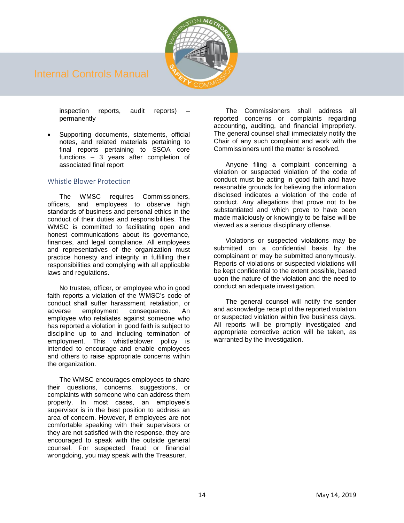

inspection reports, audit reports) – permanently

Supporting documents, statements, official notes, and related materials pertaining to final reports pertaining to SSOA core functions – 3 years after completion of associated final report

### <span id="page-15-0"></span>Whistle Blower Protection

The WMSC requires Commissioners, officers, and employees to observe high standards of business and personal ethics in the conduct of their duties and responsibilities. The WMSC is committed to facilitating open and honest communications about its governance, finances, and legal compliance. All employees and representatives of the organization must practice honesty and integrity in fulfilling their responsibilities and complying with all applicable laws and regulations.

No trustee, officer, or employee who in good faith reports a violation of the WMSC's code of conduct shall suffer harassment, retaliation, or adverse employment consequence. An employee who retaliates against someone who has reported a violation in good faith is subject to discipline up to and including termination of employment. This whistleblower policy is intended to encourage and enable employees and others to raise appropriate concerns within the organization.

The WMSC encourages employees to share their questions, concerns, suggestions, or complaints with someone who can address them properly. In most cases, an employee's supervisor is in the best position to address an area of concern. However, if employees are not comfortable speaking with their supervisors or they are not satisfied with the response, they are encouraged to speak with the outside general counsel. For suspected fraud or financial wrongdoing, you may speak with the Treasurer.

The Commissioners shall address all reported concerns or complaints regarding accounting, auditing, and financial impropriety. The general counsel shall immediately notify the Chair of any such complaint and work with the Commissioners until the matter is resolved.

Anyone filing a complaint concerning a violation or suspected violation of the code of conduct must be acting in good faith and have reasonable grounds for believing the information disclosed indicates a violation of the code of conduct. Any allegations that prove not to be substantiated and which prove to have been made maliciously or knowingly to be false will be viewed as a serious disciplinary offense.

Violations or suspected violations may be submitted on a confidential basis by the complainant or may be submitted anonymously. Reports of violations or suspected violations will be kept confidential to the extent possible, based upon the nature of the violation and the need to conduct an adequate investigation.

The general counsel will notify the sender and acknowledge receipt of the reported violation or suspected violation within five business days. All reports will be promptly investigated and appropriate corrective action will be taken, as warranted by the investigation.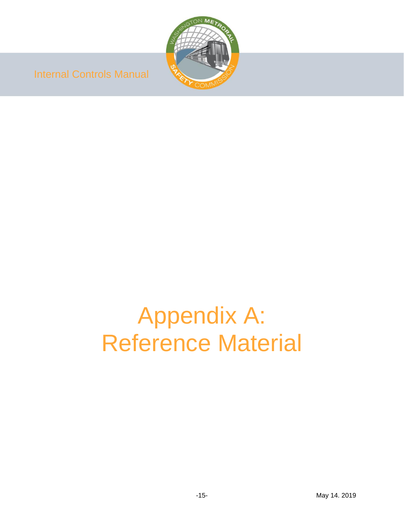

# Appendix A: Reference Material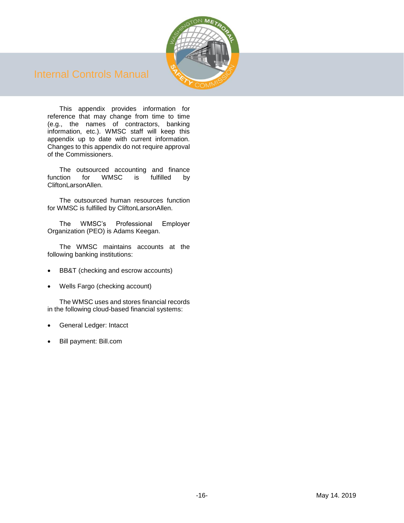

This appendix provides information for reference that may change from time to time (e.g., the names of contractors, banking information, etc.). WMSC staff will keep this appendix up to date with current information. Changes to this appendix do not require approval of the Commissioners.

The outsourced accounting and finance function for WMSC is fulfilled by CliftonLarsonAllen.

The outsourced human resources function for WMSC is fulfilled by CliftonLarsonAllen.

The WMSC's Professional Employer Organization (PEO) is Adams Keegan.

The WMSC maintains accounts at the following banking institutions:

- BB&T (checking and escrow accounts)
- Wells Fargo (checking account)

The WMSC uses and stores financial records in the following cloud-based financial systems:

- General Ledger: Intacct
- Bill payment: Bill.com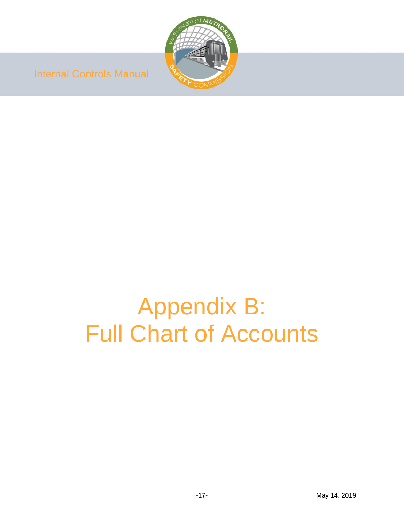

# Appendix B: Full Chart of Accounts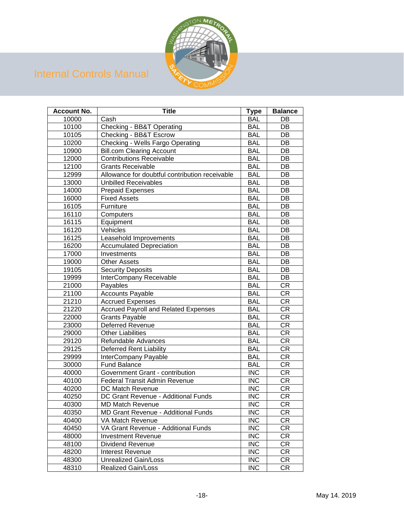

| <b>Account No.</b> | <b>Title</b>                                   | <b>Type</b> | <b>Balance</b> |
|--------------------|------------------------------------------------|-------------|----------------|
| 10000              | Cash                                           | <b>BAL</b>  | DB             |
| 10100              | Checking - BB&T Operating                      | <b>BAL</b>  | DB             |
| 10105              | Checking - BB&T Escrow                         | <b>BAL</b>  | DB             |
| 10200              | <b>Checking - Wells Fargo Operating</b>        | <b>BAL</b>  | DB             |
| 10900              | <b>Bill.com Clearing Account</b>               | <b>BAL</b>  | DB             |
| 12000              | <b>Contributions Receivable</b>                | <b>BAL</b>  | DB             |
| 12100              | <b>Grants Receivable</b>                       | <b>BAL</b>  | DB             |
| 12999              | Allowance for doubtful contribution receivable | <b>BAL</b>  | DB             |
| 13000              | <b>Unbilled Receivables</b>                    | <b>BAL</b>  | DB             |
| 14000              | <b>Prepaid Expenses</b>                        | <b>BAL</b>  | DB             |
| 16000              | <b>Fixed Assets</b>                            | <b>BAL</b>  | DB             |
| 16105              | Furniture                                      | <b>BAL</b>  | DB             |
| 16110              | Computers                                      | <b>BAL</b>  | DB             |
| 16115              | Equipment                                      | <b>BAL</b>  | DB             |
| 16120              | Vehicles                                       | <b>BAL</b>  | DB             |
| 16125              | Leasehold Improvements                         | <b>BAL</b>  | DB             |
| 16200              | <b>Accumulated Depreciation</b>                | <b>BAL</b>  | DB             |
| 17000              | Investments                                    | <b>BAL</b>  | DB             |
| 19000              | <b>Other Assets</b>                            | <b>BAL</b>  | DB             |
| 19105              | <b>Security Deposits</b>                       | <b>BAL</b>  | DB             |
| 19999              | InterCompany Receivable                        | <b>BAL</b>  | DB             |
| 21000              | Payables                                       | <b>BAL</b>  | <b>CR</b>      |
| 21100              | <b>Accounts Payable</b>                        | <b>BAL</b>  | <b>CR</b>      |
| 21210              | <b>Accrued Expenses</b>                        | <b>BAL</b>  | <b>CR</b>      |
| 21220              | <b>Accrued Payroll and Related Expenses</b>    | <b>BAL</b>  | <b>CR</b>      |
| 22000              | <b>Grants Payable</b>                          | <b>BAL</b>  | <b>CR</b>      |
| 23000              | Deferred Revenue                               | <b>BAL</b>  | <b>CR</b>      |
| 29000              | <b>Other Liabilities</b>                       | <b>BAL</b>  | <b>CR</b>      |
| 29120              | Refundable Advances                            | <b>BAL</b>  | <b>CR</b>      |
| 29125              | <b>Deferred Rent Liability</b>                 | <b>BAL</b>  | <b>CR</b>      |
| 29999              | InterCompany Payable                           | <b>BAL</b>  | <b>CR</b>      |
| 30000              | <b>Fund Balance</b>                            | <b>BAL</b>  | <b>CR</b>      |
| 40000              | Government Grant - contribution                | <b>INC</b>  | <b>CR</b>      |
| 40100              | Federal Transit Admin Revenue                  | <b>INC</b>  | <b>CR</b>      |
| 40200              | DC Match Revenue                               | <b>INC</b>  | <b>CR</b>      |
| 40250              | DC Grant Revenue - Additional Funds            | <b>INC</b>  | <b>CR</b>      |
| 40300              | <b>MD Match Revenue</b>                        | <b>INC</b>  | <b>CR</b>      |
| 40350              | MD Grant Revenue - Additional Funds            | <b>INC</b>  | CR             |
| 40400              | VA Match Revenue                               | <b>INC</b>  | CR             |
| 40450              | VA Grant Revenue - Additional Funds            | <b>INC</b>  | CR             |
| 48000              | <b>Investment Revenue</b>                      | <b>INC</b>  | CR             |
| 48100              | Dividend Revenue                               | <b>INC</b>  | <b>CR</b>      |
| 48200              | Interest Revenue                               | <b>INC</b>  | CR             |
| 48300              | Unrealized Gain/Loss                           | <b>INC</b>  | CR             |
| 48310              | <b>Realized Gain/Loss</b>                      | <b>INC</b>  | CR             |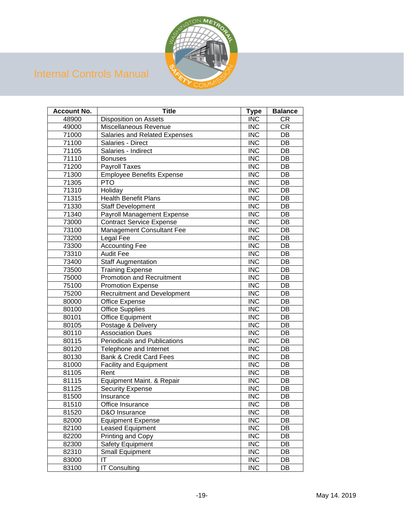

| <b>Account No.</b> | <b>Title</b>                        | <b>Type</b> | <b>Balance</b> |
|--------------------|-------------------------------------|-------------|----------------|
| 48900              | <b>Disposition on Assets</b>        | <b>INC</b>  | CR             |
| 49000              | Miscellaneous Revenue               | <b>INC</b>  | <b>CR</b>      |
| 71000              | Salaries and Related Expenses       | <b>INC</b>  | DB             |
| 71100              | Salaries - Direct                   | <b>INC</b>  | DB             |
| 71105              | Salaries - Indirect                 | <b>INC</b>  | DB             |
| 71110              | <b>Bonuses</b>                      | <b>INC</b>  | DB             |
| 71200              | Payroll Taxes                       | <b>INC</b>  | DB             |
| 71300              | <b>Employee Benefits Expense</b>    | <b>INC</b>  | DB             |
| 71305              | <b>PTO</b>                          | <b>INC</b>  | DB             |
| 71310              | Holiday                             | <b>INC</b>  | DB             |
| 71315              | <b>Health Benefit Plans</b>         | <b>INC</b>  | DB             |
| 71330              | Staff Development                   | <b>INC</b>  | DB             |
| 71340              | Payroll Management Expense          | <b>INC</b>  | DB             |
| 73000              | <b>Contract Service Expense</b>     | <b>INC</b>  | DB             |
| 73100              | Management Consultant Fee           | <b>INC</b>  | DB             |
| 73200              | Legal Fee                           | <b>INC</b>  | DB             |
| 73300              | <b>Accounting Fee</b>               | <b>INC</b>  | DB             |
| 73310              | <b>Audit Fee</b>                    | <b>INC</b>  | DB             |
| 73400              | <b>Staff Augmentation</b>           | <b>INC</b>  | DB             |
| 73500              | <b>Training Expense</b>             | <b>INC</b>  | DB             |
| 75000              | <b>Promotion and Recruitment</b>    | <b>INC</b>  | DB             |
| 75100              | <b>Promotion Expense</b>            | <b>INC</b>  | DB             |
| 75200              | <b>Recruitment and Development</b>  | <b>INC</b>  | DB             |
| 80000              | Office Expense                      | <b>INC</b>  | DB             |
| 80100              | <b>Office Supplies</b>              | <b>INC</b>  | DB             |
| 80101              | <b>Office Equipment</b>             | <b>INC</b>  | DB             |
| 80105              | Postage & Delivery                  | <b>INC</b>  | DB             |
| 80110              | <b>Association Dues</b>             | <b>INC</b>  | DB             |
| 80115              | <b>Periodicals and Publications</b> | <b>INC</b>  | DB             |
| 80120              | Telephone and Internet              | <b>INC</b>  | DB             |
| 80130              | <b>Bank &amp; Credit Card Fees</b>  | <b>INC</b>  | DB             |
| 81000              | <b>Facility and Equipment</b>       | <b>INC</b>  | DB             |
| 81105              | Rent                                | <b>INC</b>  | DB             |
| 81115              | Equipment Maint. & Repair           | <b>INC</b>  | DB             |
| 81125              | <b>Security Expense</b>             | <b>INC</b>  | DB             |
| 81500              | Insurance                           | <b>INC</b>  | DB             |
| 81510              | Office Insurance                    | <b>INC</b>  | DB             |
| 81520              | D&O Insurance                       | <b>INC</b>  | DB             |
| 82000              | <b>Equipment Expense</b>            | <b>INC</b>  | DB             |
| 82100              | <b>Leased Equipment</b>             | <b>INC</b>  | DB             |
| 82200              | Printing and Copy                   | <b>INC</b>  | DB             |
| 82300              | Safety Equipment                    | <b>INC</b>  | DB             |
| 82310              | Small Equipment                     | <b>INC</b>  | DB             |
| 83000              | IT                                  | <b>INC</b>  | DB             |
| 83100              | <b>IT Consulting</b>                | <b>INC</b>  | DB             |